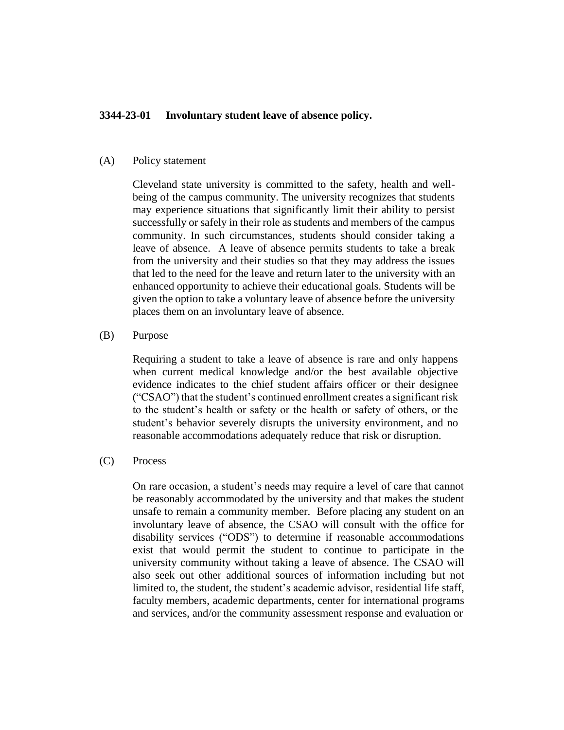# **3344-23-01 Involuntary student leave of absence policy.**

#### (A) Policy statement

Cleveland state university is committed to the safety, health and wellbeing of the campus community. The university recognizes that students may experience situations that significantly limit their ability to persist successfully or safely in their role as students and members of the campus community. In such circumstances, students should consider taking a leave of absence. A leave of absence permits students to take a break from the university and their studies so that they may address the issues that led to the need for the leave and return later to the university with an enhanced opportunity to achieve their educational goals. Students will be given the option to take a voluntary leave of absence before the university places them on an involuntary leave of absence.

### (B) Purpose

Requiring a student to take a leave of absence is rare and only happens when current medical knowledge and/or the best available objective evidence indicates to the chief student affairs officer or their designee ("CSAO") that the student's continued enrollment creates a significant risk to the student's health or safety or the health or safety of others, or the student's behavior severely disrupts the university environment, and no reasonable accommodations adequately reduce that risk or disruption.

### (C) Process

On rare occasion, a student's needs may require a level of care that cannot be reasonably accommodated by the university and that makes the student unsafe to remain a community member. Before placing any student on an involuntary leave of absence, the CSAO will consult with the office for disability services ("ODS") to determine if reasonable accommodations exist that would permit the student to continue to participate in the university community without taking a leave of absence. The CSAO will also seek out other additional sources of information including but not limited to, the student, the student's academic advisor, residential life staff, faculty members, academic departments, center for international programs and services, and/or the community assessment response and evaluation or